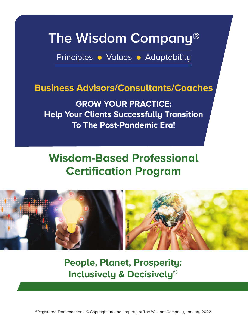## **The Wisdom Company®**

Principles • Values • Adaptability

### **Business advisors/Consultants/Coaches**

**GroW Your PraCtICe: Help Your Clients Successfully transition to the Post-Pandemic era!**

## **Wisdom-Based Professional Certification Program**



**People, Planet, Prosperity: Inclusively & Decisively©**

®Registered Trademark and © Copyright are the property of The Wisdom Company, January 2022.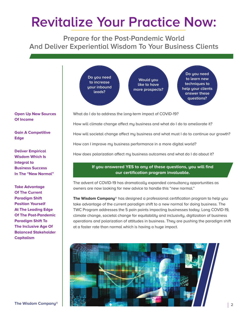# **Revitalize Your Practice Now:**

**Prepare for the Post-Pandemic World And Deliver Experiential Wisdom To Your Business Clients**



#### **open up New Sources of Income**

**Gain a Competitive edge**

**Deliver empirical Wisdom Which Is Integral to Business Success In the "New Normal"**

**take advantage of the Current Paradigm Shift Position Yourself at the Leading edge of the Post-Pandemic Paradigm Shift to the Inclusive age of Balanced Stakeholder Capitalism**

What do I do to address the long-term impact of COVID-19?

How will climate change affect my business and what do I do to ameliorate it?

How will societal change affect my business and what must I do to continue our growth?

How can I improve my business performance in a more digital world?

How does polarization affect my business outcomes and what do I do about it?

#### **If you answered YeS to any of these questions, you will find our certification program invaluable.**

The advent of COVID-19 has dramatically expanded consultancy opportunities as owners are now looking for new advice to handle this "new normal."

**the Wisdom Company**® has designed a professional certification program to help you take advantage of the current paradigm shift to a new normal for doing business. The TWC Program addresses the 5 pain points impacting businesses today: Long COVID-19, climate change, societal change for equitability and inclusivity, digitization of business operations and polarization of attitudes in business. They are pushing the paradigm shift at a faster rate than normal which is having a huge impact.

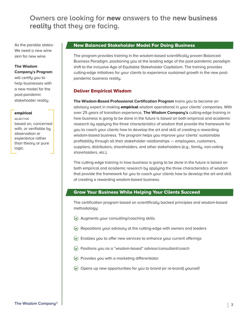### **Owners are looking for** new **answers to the new business reality that they are facing.**

As the parable states: We need a new wine skin for new wine.

#### **the Wisdom Company's Program**

will certify you to help businesses with a new model for the post-pandemic stakeholder reality.

#### empirical

ADJECTIVE based on, concerned with, or verifiable by observation or experience rather than theory or pure logic.

#### New Balanced Stakeholder Model For Doing Business

The program provides training in the wisdom-based scientifically proven Balanced Business Paradigm, positioning you at the leading edge of the post-pandemic paradigm shift to the inclusive Age of Equitable Stakeholder Capitalism. The training provides cutting-edge initiatives for your clients to experience sustained growth in the new postpandemic business reality.

#### Deliver Empirical Wisdom

**the Wisdom-Based Professional Certification Program** trains you to become an advisory expert in making **empirical** wisdom operational in your clients' companies. With over 25 years of transition experience, **the Wisdom Company's** cutting-edge training in how business is going to be done in the future is based on both empirical and academic research by applying the three characteristics of wisdom that provide the framework for you to coach your clients how to develop the art and skill of creating a rewarding wisdom-based business. The program helps you improve your clients' sustainable profitability through all their stakeholder relationships — employees, customers, suppliers, distributors, shareholders, and other stakeholders (e.g., family, non-voting shareholders, etc.).

The cutting-edge training in how business is going to be done in the future is based on both empirical and academic research by applying the three characteristics of wisdom that provide the framework for you to coach your clients how to develop the art and skill of creating a rewarding wisdom-based business.

#### Grow Your Business While Helping Your Clients Succeed

The certification program based on scientifically backed principles and wisdom-based methodology:

- $\odot$  Augments your consulting/coaching skills
- $\heartsuit$  Repositions your advisory at the cutting-edge with owners and leaders
- Enables you to offer new services to enhance your current offerings
- Positions you as a "wisdom-based" advisor/consultant/coach
- $\odot$  Provides you with a marketing differentiator
- $\odot$  Opens up new opportunities for you to brand (or re-brand) yourself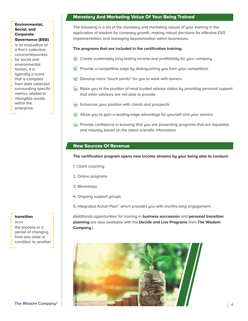#### Environmental, Social, and Corporate Governance (ESG)

is an evaluation of a firm's collective conscientiousness for social and environmental factors. It is typically a score that is compiled from data collected surrounding specific metrics related to intangible assets within the enterprise.

#### transition

NOUN the process or a period of changing from one state or condition to another.

#### Monetary And Marketing Value Of Your Being Trained

The following is a list of the monetary and marketing values of your training in the application of wisdom for company growth, making robust decisions for effective ESG implementation, and managing depolarization within businesses.

#### **the programs that are included in the certification training:**

- $\odot$  Create sustainably long-lasting income and profitability for your company
- $\heartsuit$  Provide a competitive edge by distinguishing you from your competitors
- $\odot$  Develop more "touch points" for you to work with owners
- $\heartsuit$  Raise you to the position of most trusted advisor status by providing personal support that other advisors are not able to provide
- $\odot$  Enhances your position with clients and prospects
- $\odot$  Allow you to gain a leading-edge advantage for yourself and your owners
- $\odot$  Provide confidence in knowing that you are presenting programs that are reputable and robustly based on the latest scientific information

#### New Sources Of Revenue

#### **the certification program opens new income streams by your being able to conduct:**

- 1. Client coaching
- 2. Online programs
- 3. Workshops
- 4. Ongoing support groups
- 5. Integrated Action Plan<sup>®</sup> which provides you with months-long engagement.

(Additional opportunities for training in **business succession** and **personal transition planning** are also available with the **Decide and Live Programs** from **the Wisdom Company**.)

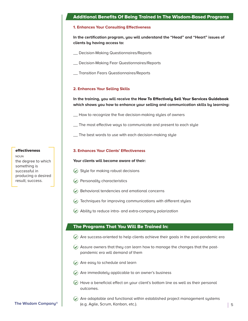#### Additional Benefits Of Being Trained In The Wisdom-Based Programs

#### **1. enhances Your Consulting effectiveness**

**In the certification program, you will understand the "Head" and "Heart" issues of clients by having access to:**

- \_\_ Decision-Making Questionnaires/Reports
- \_\_ Decision-Making Fear Questionnaires/Reports
- \_\_ Transition Fears Questionnaires/Reports

#### **2. enhances Your Selling Skills**

#### **In the training, you will receive the** How To Effectively Sell Your Services Guidebook **which shows you how to enhance your selling and communication skills by learning:**

\_\_ How to recognize the five decision-making styles of owners

- \_\_ The most effective ways to communicate and present to each style
- \_\_ The best words to use with each decision-making style

#### **3. enhances Your Clients' effectiveness**

#### **Your clients will become aware of their:**

- $\odot$  Style for making robust decisions
- $\odot$  Personality characteristics
- $\odot$  Behavioral tendencies and emotional concerns
- $\odot$  Techniques for improving communications with different styles
- Ability to reduce intra- and extra-company polarization

#### The Programs That You Will Be Trained In:

- $\odot$  Are success-oriented to help clients achieve their goals in the post-pandemic era
- $\Diamond$  Assure owners that they can learn how to manage the changes that the postpandemic era will demand of them
- Are easy to schedule and learn
- $\odot$  Are immediately applicable to an owner's business
- $\odot$  Have a beneficial effect on your client's bottom line as well as their personal outcomes.
- **The Wisdom Company® 5** (e.g. Agile, Scrum, Kanban, etc.).  $\odot$  Are adaptable and functional within established project management systems

#### effectiveness

NOUN the degree to which something is successful in producing a desired result; success.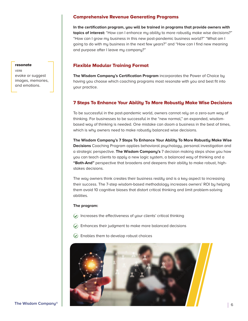#### Comprehensive Revenue Generating Programs

**In the certification program, you will be trained in programs that provide owners with topics of interest:** "How can I enhance my ability to more robustly make wise decisions?" "How can I grow my business in this new post-pandemic business world?" "What am I going to do with my business in the next few years?" and "How can I find new meaning and purpose after I leave my company?"

#### Flexible Modular Training Format

**the Wisdom Company's Certification Program** incorporates the Power of Choice by having you choose which coaching programs most resonate with you and best fit into your practice.

#### 7 Steps To Enhance Your Ability To More Robustly Make Wise Decisions

To be successful in the post-pandemic world, owners cannot rely on a zero-sum way of thinking. For businesses to be successful in the "new normal," an expanded, wisdombased way of thinking is needed. One mistake can doom a business in the best of times, which is why owners need to make robustly balanced wise decisions.

**the Wisdom Company's 7 Steps to enhance Your ability to More robustly Make Wise Decisions** Coaching Program applies behavioral psychology, personal investigation and a strategic perspective. **the Wisdom Company's** 7 decision making steps show you how you can teach clients to apply a new logic system, a balanced way of thinking and a **"Both-and"** perspective that broadens and deepens their ability to make robust, highstakes decisions.

The way owners think creates their business reality and is a key aspect to increasing their success. The 7-step wisdom-based methodology increases owners' ROI by helping them avoid 10 cognitive biases that distort critical thinking and limit problem-solving abilities.

#### **the program:**

- $\odot$  Increases the effectiveness of your clients' critical thinking
- $\odot$  Enhances their judgment to make more balanced decisions
- $\odot$  Enables them to develop robust choices



#### resonate

VERB evoke or suggest images, memories, and emotions.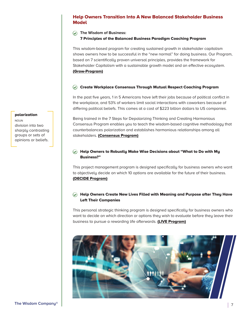#### Help Owners Transition Into A New Balanced Stakeholder Business **Model**

#### **the Wisdom of Business:**

#### 7 Principles of the Balanced Business Paradigm Coaching Program

This wisdom-based program for creating sustained growth in stakeholder capitalism shows owners how to be successful in the "new normal" for doing business. Our Program, based on 7 scientifically proven universal principles, provides the framework for Stakeholder Capitalism with a sustainable growth model and an effective ecosystem. (Grow-Program)

#### $\oslash$  Create Workplace Consensus Through Mutual Respect Coaching Program

In the past five years, 1 in 5 Americans have left their jobs because of political conflict in the workplace, and 53% of workers limit social interactions with coworkers because of differing political beliefs. This comes at a cost of \$223 billion dollars to US companies.

Being trained in the 7 Steps for Depolarizing Thinking and Creating Harmonious Consensus Program enables you to teach the wisdom-based cognitive methodology that counterbalances polarization and establishes harmonious relationships among all stakeholders. (Consensus Program)

#### $\oslash$  Help Owners to Robustly Make Wise Decisions about "What to Do with My Business?"

This project management program is designed specifically for business owners who want to objectively decide on which 10 options are available for the future of their business. (DECIDE Program)

#### $\circledcirc$  Help Owners Create New Lives Filled with Meaning and Purpose after They Have Left Their Companies

This personal strategic thinking program is designed specifically for business owners who want to decide on which direction or options they wish to evaluate before they leave their business to pursue a rewarding life afterwards. (LIVE Program)



#### polarization

NOUN division into two sharply contrasting groups or sets of opinions or beliefs.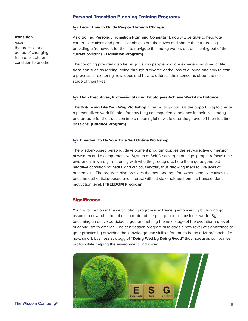#### transition

NOUN the process or a period of changing from one state or condition to another.

#### Personal Transition Planning Training Programs

#### Learn How to Guide People Through Change

As a trained **Personal transition Planning Consultant**, you will be able to help late career executives and professionals explore their lives and shape their futures by providing a framework for them to navigate the murky waters of transitioning out of their current positions. (Transition Program)

The coaching program also helps you show people who are experiencing a major life transition such as retiring, going through a divorce or the loss of a loved one how to start a process for exploring new ideas and how to address their concerns about the next stage of their lives.

#### $\Diamond$  Help Executives, Professionals and Employees Achieve Work-Life Balance

The Balancing Life Your Way Workshop gives participants 50+ the opportunity to create a personalized work-life plan for how they can experience balance in their lives today and prepare for the transition into a meaningful new life after they have left their full-time positions. (Balance Program)

#### $\circledcirc$  Freedom To Be Your True Self Online Workshop

The wisdom-based personal development program applies the self-directive dimension of wisdom and a comprehensive System of Self-Discovery that helps people refocus their awareness inwardly, re-identify with who they really are, help them go beyond old negative conditioning, fears, and critical self-talk, thus allowing them to live lives of authenticity. The program also provides the methodology for owners and executives to become authenticity-based and interact with all stakeholders from the transcendent motivation level. (FREEDOM Program)

#### **Significance**

Your participation in the certification program is extremely empowering by having you assume a new role, that of a co-creator of the post-pandemic business world. By becoming an active participant, you are helping the next stage of the evolutionary level of capitalism to emerge. The certification program also adds a new level of significance to your practice by providing the knowledge and skillset for you to be an advisor/coach of a new, smart, business strategy of **"Doing Well by Doing Good"** that increases companies' profits while helping the environment and society.